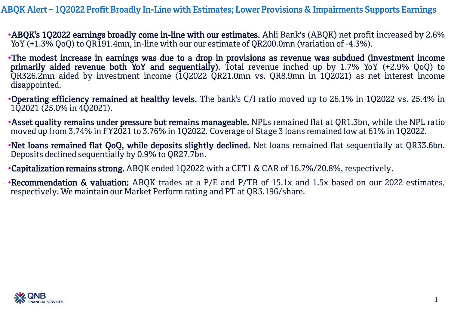ABQK Alert – 1Q2022 Profit Broadly In-Line with Estimates; Lower Provisions & Impairments Supports Earnings

•ABQK's 1Q2022 earnings broadly come in-line with our estimates. Ahli Bank's (ABQK) net profit increased by 2.6% YoY (+1.3% QoQ) to QR191.4mn, in-line with our our estimate of QR200.0mn (variation of -4.3%).

- •The modest increase in earnings was due to a drop in provisions as revenue was subdued (investment income primarily aided revenue both YoY and sequentially). Total revenue inched up by 1.7% YoY (+2.9% QoQ) to QR326.2mn aided by investment income (1Q2022 QR21.0mn vs. QR8.9mn in 1Q2021) as net interest income disappointed.
- •Operating efficiency remained at healthy levels. The bank's C/I ratio moved up to 26.1% in 1Q2022 vs. 25.4% in 1Q2021 (25.0% in 4Q2021).
- •Asset quality remains under pressure but remains manageable. NPLs remained flat at QR1.3bn, while the NPL ratio moved up from 3.74% in FY2021 to 3.76% in 1Q2022. Coverage of Stage 3 loans remained low at 61% in 1Q2022.
- •Net loans remained flat QoQ, while deposits slightly declined. Net loans remained flat sequentially at QR33.6bn. Deposits declined sequentially by 0.9% to QR27.7bn.
- •Capitalization remains strong. ABQK ended 1Q2022 with a CET1 & CAR of 16.7%/20.8%, respectively.
- •Recommendation & valuation: ABQK trades at a P/E and P/TB of 15.1x and 1.5x based on our 2022 estimates, respectively. We maintain our Market Perform rating and PT at QR3.196/share.

1